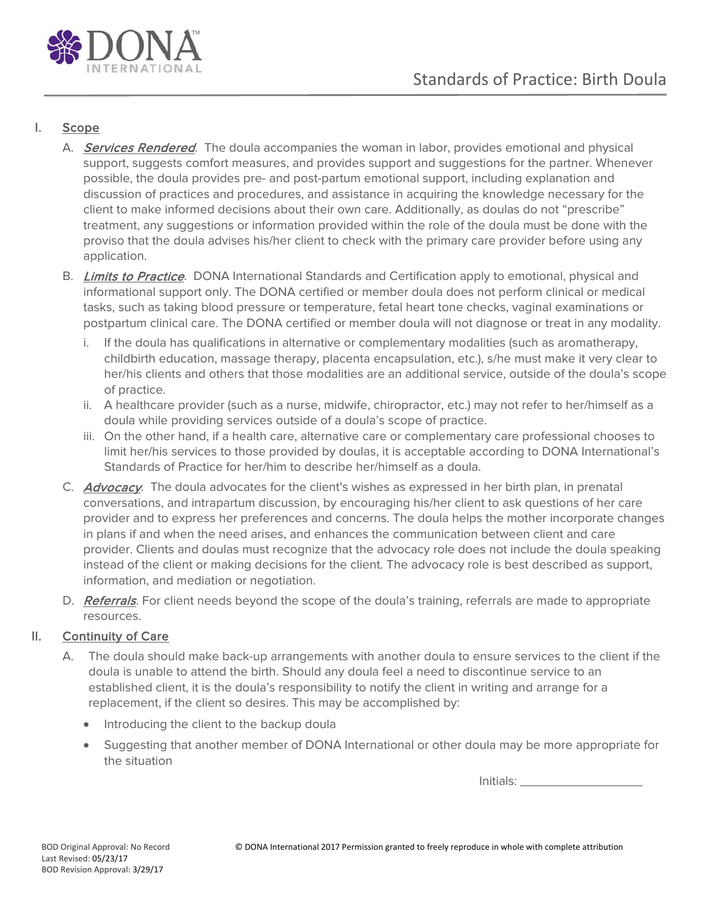

## I. Scope

- A. Services Rendered. The doula accompanies the woman in labor, provides emotional and physical support, suggests comfort measures, and provides support and suggestions for the partner. Whenever possible, the doula provides pre- and post-partum emotional support, including explanation and discussion of practices and procedures, and assistance in acquiring the knowledge necessary for the client to make informed decisions about their own care. Additionally, as doulas do not "prescribe" treatment, any suggestions or information provided within the role of the doula must be done with the proviso that the doula advises his/her client to check with the primary care provider before using any application.
- B. *Limits to Practice*. DONA International Standards and Certification apply to emotional, physical and informational support only. The DONA certified or member doula does not perform clinical or medical tasks, such as taking blood pressure or temperature, fetal heart tone checks, vaginal examinations or postpartum clinical care. The DONA certified or member doula will not diagnose or treat in any modality.
	- i. If the doula has qualifications in alternative or complementary modalities (such as aromatherapy, childbirth education, massage therapy, placenta encapsulation, etc.), s/he must make it very clear to her/his clients and others that those modalities are an additional service, outside of the doula's scope of practice.
	- ii. A healthcare provider (such as a nurse, midwife, chiropractor, etc.) may not refer to her/himself as a doula while providing services outside of a doula's scope of practice.
	- iii. On the other hand, if a health care, alternative care or complementary care professional chooses to limit her/his services to those provided by doulas, it is acceptable according to DONA International's Standards of Practice for her/him to describe her/himself as a doula.
- C. Advocacy. The doula advocates for the client's wishes as expressed in her birth plan, in prenatal conversations, and intrapartum discussion, by encouraging his/her client to ask questions of her care provider and to express her preferences and concerns. The doula helps the mother incorporate changes in plans if and when the need arises, and enhances the communication between client and care provider. Clients and doulas must recognize that the advocacy role does not include the doula speaking instead of the client or making decisions for the client. The advocacy role is best described as support, information, and mediation or negotiation.
- D. Referrals. For client needs beyond the scope of the doula's training, referrals are made to appropriate resources.

## II. Continuity of Care

- A. The doula should make back-up arrangements with another doula to ensure services to the client if the doula is unable to attend the birth. Should any doula feel a need to discontinue service to an established client, it is the doula's responsibility to notify the client in writing and arrange for a replacement, if the client so desires. This may be accomplished by:
	- Introducing the client to the backup doula
	- Suggesting that another member of DONA International or other doula may be more appropriate for the situation

Initials: \_\_\_\_\_\_\_\_\_\_\_\_\_\_\_\_\_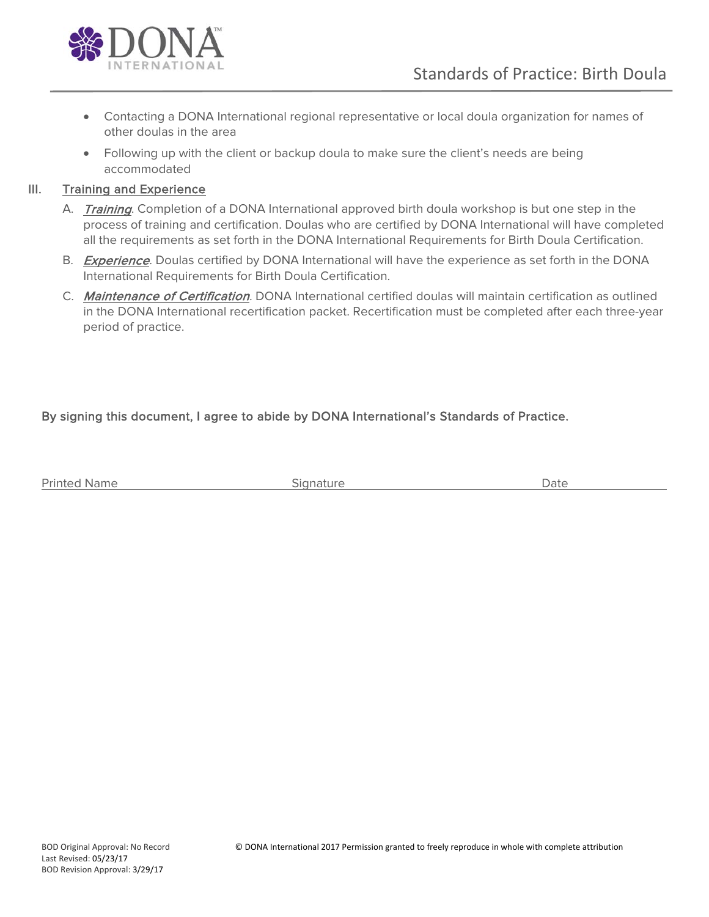

- Contacting a DONA International regional representative or local doula organization for names of other doulas in the area
- Following up with the client or backup doula to make sure the client's needs are being accommodated

## III. Training and Experience

- A. Training. Completion of a DONA International approved birth doula workshop is but one step in the process of training and certification. Doulas who are certified by DONA International will have completed all the requirements as set forth in the DONA International Requirements for Birth Doula Certification.
- B. **Experience**. Doulas certified by DONA International will have the experience as set forth in the DONA International Requirements for Birth Doula Certification.
- C. Maintenance of Certification. DONA International certified doulas will maintain certification as outlined in the DONA International recertification packet. Recertification must be completed after each three-year period of practice.

## By signing this document, I agree to abide by DONA International's Standards of Practice.

| <b>Printed Name</b> | Signature | Date |
|---------------------|-----------|------|
|---------------------|-----------|------|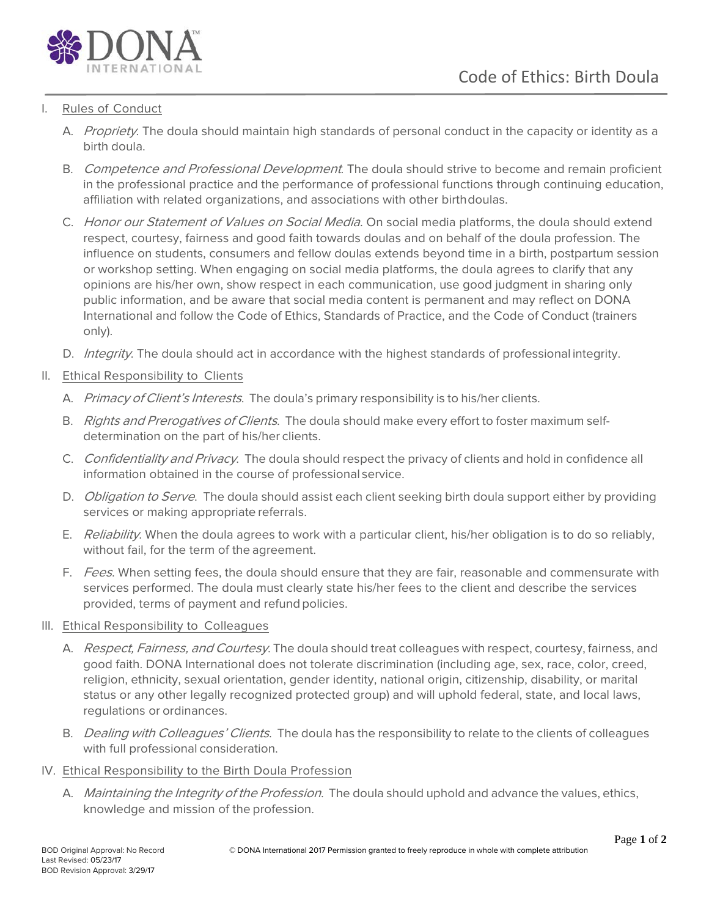

# I. Rules of Conduct

- A. Propriety. The doula should maintain high standards of personal conduct in the capacity or identity as a birth doula.
- B. Competence and Professional Development. The doula should strive to become and remain proficient in the professional practice and the performance of professional functions through continuing education, affiliation with related organizations, and associations with other birthdoulas.
- C. Honor our Statement of Values on Social Media. On social media platforms, the doula should extend respect, courtesy, fairness and good faith towards doulas and on behalf of the doula profession. The influence on students, consumers and fellow doulas extends beyond time in a birth, postpartum session or workshop setting. When engaging on social media platforms, the doula agrees to clarify that any opinions are his/her own, show respect in each communication, use good judgment in sharing only public information, and be aware that social media content is permanent and may reflect on DONA International and follow the Code of Ethics, Standards of Practice, and the Code of Conduct (trainers only).
- D. *Integrity*. The doula should act in accordance with the highest standards of professional integrity.
- II. Ethical Responsibility to Clients
	- A. Primacy of Client's Interests. The doula's primary responsibility is to his/her clients.
	- B. Rights and Prerogatives of Clients. The doula should make every effort to foster maximum selfdetermination on the part of his/her clients.
	- C. Confidentiality and Privacy. The doula should respect the privacy of clients and hold in confidence all information obtained in the course of professional service.
	- D. Obligation to Serve. The doula should assist each client seeking birth doula support either by providing services or making appropriate referrals.
	- E. Reliability. When the doula agrees to work with a particular client, his/her obligation is to do so reliably, without fail, for the term of the agreement.
	- F. Fees. When setting fees, the doula should ensure that they are fair, reasonable and commensurate with services performed. The doula must clearly state his/her fees to the client and describe the services provided, terms of payment and refund policies.

## III. Ethical Responsibility to Colleagues

- A. Respect, Fairness, and Courtesy. The doula should treat colleagues with respect, courtesy, fairness, and good faith. DONA International does not tolerate discrimination (including age, sex, race, color, creed, religion, ethnicity, sexual orientation, gender identity, national origin, citizenship, disability, or marital status or any other legally recognized protected group) and will uphold federal, state, and local laws, regulations or ordinances.
- B. Dealing with Colleagues' Clients. The doula has the responsibility to relate to the clients of colleagues with full professional consideration.
- IV. Ethical Responsibility to the Birth Doula Profession
	- A. Maintaining the Integrity of the Profession. The doula should uphold and advance the values, ethics, knowledge and mission of the profession.